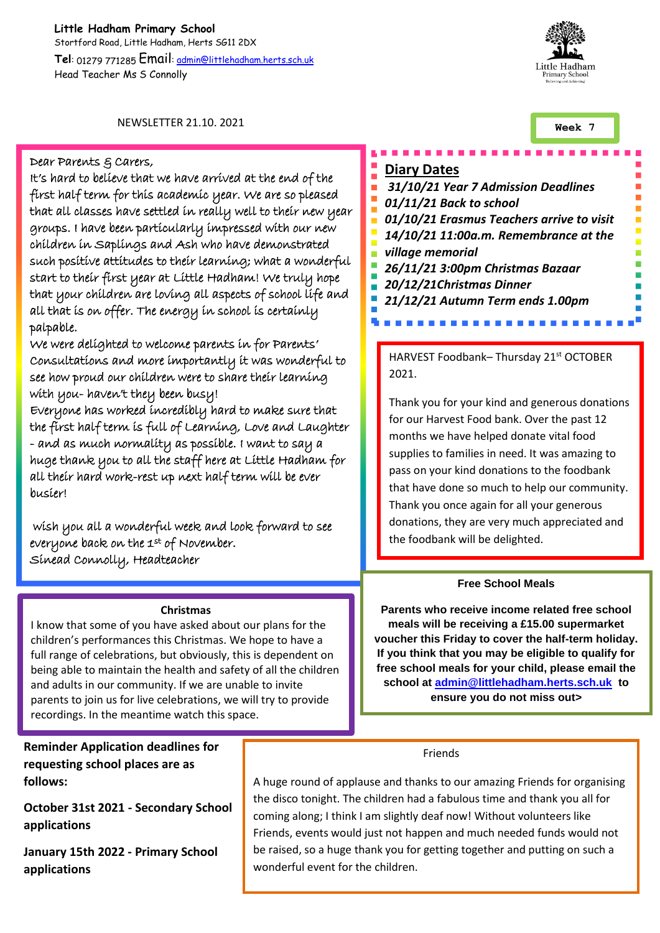**Little Hadham Primary School** Stortford Road, Little Hadham, Herts SG11 2DX **Tel**: 01279 771285 Email: admin@littlehadham.herts.sch.uk Head Teacher Ms S Connolly



NEWSLETTER 21.10. 2021

## Dear Parents & Carers,

It's hard to believe that we have arrived at the end of the first half term for this academic year. We are so pleased that all classes have settled in really well to their new year groups. I have been particularly impressed with our new children in Saplings and Ash who have demonstrated such positive attitudes to their learning; what a wonderful start to their first year at Little Hadham! We truly hope that your children are loving all aspects of school life and all that is on offer. The energy in school is certainly palpable.

We were delighted to welcome parents in for Parents' Consultations and more importantly it was wonderful to see how proud our children were to share their learning with you- haven't they been busy!

Everyone has worked incredibly hard to make sure that the first half term is full of Learning, Love and Laughter - and as much normality as possible. I want to say a huge thank you to all the staff here at Little Hadham for all their hard work-rest up next half term will be ever busier!

 wish you all a wonderful week and look forward to see everyone back on the 1st of November. Sinead Connolly, Headteacher

## **Christmas**

I know that some of you have asked about our plans for the children's performances this Christmas. We hope to have a full range of celebrations, but obviously, this is dependent on being able to maintain the health and safety of all the children and adults in our community. If we are unable to invite parents to join us for live celebrations, we will try to provide recordings. In the meantime watch this space.

**Reminder Application deadlines for requesting school places are as follows:** 

**October 31st 2021 - Secondary School applications** 

**January 15th 2022 - Primary School applications**

| <b>Diary Dates</b>                        |
|-------------------------------------------|
|                                           |
| 31/10/21 Year 7 Admission Deadlines       |
| 01/11/21 Back to school                   |
| 01/10/21 Erasmus Teachers arrive to visit |
| 14/10/21 11:00a.m. Remembrance at the     |
| village memorial                          |
| 26/11/21 3:00pm Christmas Bazaar          |
| 20/12/21 Christmas Dinner                 |
| 21/12/21 Autumn Term ends 1.00pm          |
|                                           |

×

HARVEST Foodbank-Thursday 21st OCTOBER 2021.

Thank you for your kind and generous donations for our Harvest Food bank. Over the past 12 months we have helped donate vital food supplies to families in need. It was amazing to pass on your kind donations to the foodbank that have done so much to help our community. Thank you once again for all your generous donations, they are very much appreciated and the foodbank will be delighted.

## **Free School Meals**

**Parents who receive income related free school meals will be receiving a £15.00 supermarket voucher this Friday to cover the half-term holiday. If you think that you may be eligible to qualify for free school meals for your child, please email the school at admin@littlehadham.herts.sch.uk to ensure you do not miss out>**

## Friends

A huge round of applause and thanks to our amazing Friends for organising the disco tonight. The children had a fabulous time and thank you all for coming along; I think I am slightly deaf now! Without volunteers like Friends, events would just not happen and much needed funds would not be raised, so a huge thank you for getting together and putting on such a wonderful event for the children.